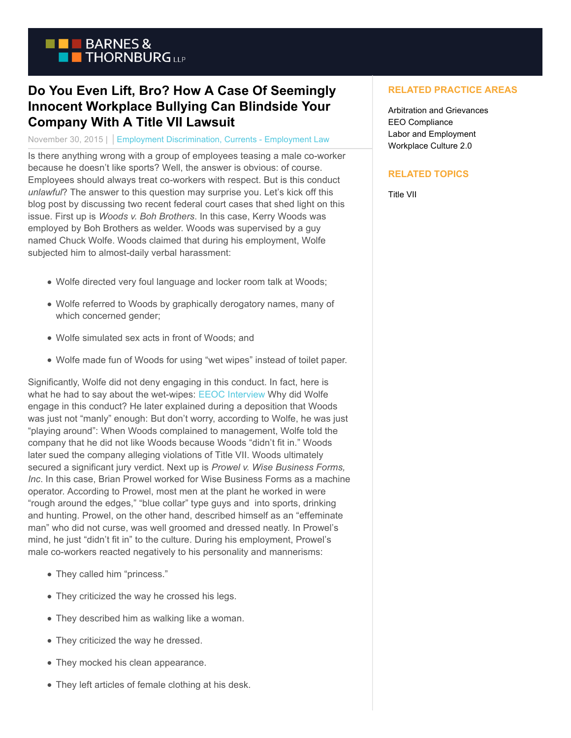

## **Do You Even Lift, Bro? How A Case Of Seemingly Innocent Workplace Bullying Can Blindside Your Company With A Title VII Lawsuit**

## November 30, 2015 | Employment Discrimination, Currents - Employment Law

Is there anything wrong with a group of employees teasing a male co-worker because he doesn't like sports? Well, the answer is obvious: of course. Employees should always treat co-workers with respect. But is this conduct *unlawful*? The answer to this question may surprise you. Let's kick off this blog post by discussing two recent federal court cases that shed light on this issue. First up is *Woods v. Boh Brothers*. In this case, Kerry Woods was employed by Boh Brothers as welder. Woods was supervised by a guy named Chuck Wolfe. Woods claimed that during his employment, Wolfe subjected him to almost-daily verbal harassment:

- Wolfe directed very foul language and locker room talk at Woods;
- Wolfe referred to Woods by graphically derogatory names, many of which concerned gender;
- Wolfe simulated sex acts in front of Woods; and
- Wolfe made fun of Woods for using "wet wipes" instead of toilet paper.

Significantly, Wolfe did not deny engaging in this conduct. In fact, here is what he had to say about the wet-wipes: [EEOC Interview](https://www.btcurrentsemployment.com/do-you-even-lift-bro-how-a-case-of-seemingly-innocent-workplace-bullying-can-blindside-your-company-with-a-title-vii-lawsuit/eeoc-interview/) Why did Wolfe engage in this conduct? He later explained during a deposition that Woods was just not "manly" enough: But don't worry, according to Wolfe, he was just "playing around": When Woods complained to management, Wolfe told the company that he did not like Woods because Woods "didn't fit in." Woods later sued the company alleging violations of Title VII. Woods ultimately secured a significant jury verdict. Next up is *Prowel v. Wise Business Forms, Inc*. In this case, Brian Prowel worked for Wise Business Forms as a machine operator. According to Prowel, most men at the plant he worked in were "rough around the edges," "blue collar" type guys and into sports, drinking and hunting. Prowel, on the other hand, described himself as an "effeminate man" who did not curse, was well groomed and dressed neatly. In Prowel's mind, he just "didn't fit in" to the culture. During his employment, Prowel's male co-workers reacted negatively to his personality and mannerisms:

- They called him "princess."
- They criticized the way he crossed his legs.
- They described him as walking like a woman.
- They criticized the way he dressed.
- They mocked his clean appearance.
- They left articles of female clothing at his desk.

## **RELATED PRACTICE AREAS**

Arbitration and Grievances EEO Compliance Labor and Employment Workplace Culture 2.0

## **RELATED TOPICS**

Title VII